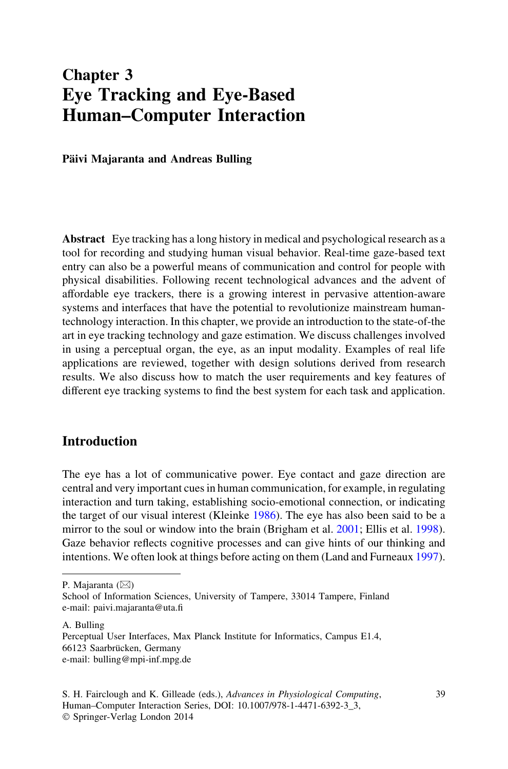# Chapter 3 Eye Tracking and Eye-Based Human–Computer Interaction

Päivi Majaranta and Andreas Bulling

Abstract Eye tracking has a long history in medical and psychological research as a tool for recording and studying human visual behavior. Real-time gaze-based text entry can also be a powerful means of communication and control for people with physical disabilities. Following recent technological advances and the advent of affordable eye trackers, there is a growing interest in pervasive attention-aware systems and interfaces that have the potential to revolutionize mainstream humantechnology interaction. In this chapter, we provide an introduction to the state-of-the art in eye tracking technology and gaze estimation. We discuss challenges involved in using a perceptual organ, the eye, as an input modality. Examples of real life applications are reviewed, together with design solutions derived from research results. We also discuss how to match the user requirements and key features of different eye tracking systems to find the best system for each task and application.

# **Introduction**

The eye has a lot of communicative power. Eye contact and gaze direction are central and very important cues in human communication, for example, in regulating interaction and turn taking, establishing socio-emotional connection, or indicating the target of our visual interest (Kleinke [1986\)](#page-23-0). The eye has also been said to be a mirror to the soul or window into the brain (Brigham et al. [2001](#page-20-0); Ellis et al. [1998\)](#page-22-0). Gaze behavior reflects cognitive processes and can give hints of our thinking and intentions. We often look at things before acting on them (Land and Furneaux [1997\)](#page-23-0).

P. Majaranta  $(\boxtimes)$ 

A. Bulling

School of Information Sciences, University of Tampere, 33014 Tampere, Finland e-mail: paivi.majaranta@uta.fi

Perceptual User Interfaces, Max Planck Institute for Informatics, Campus E1.4, 66123 Saarbrücken, Germany e-mail: bulling@mpi-inf.mpg.de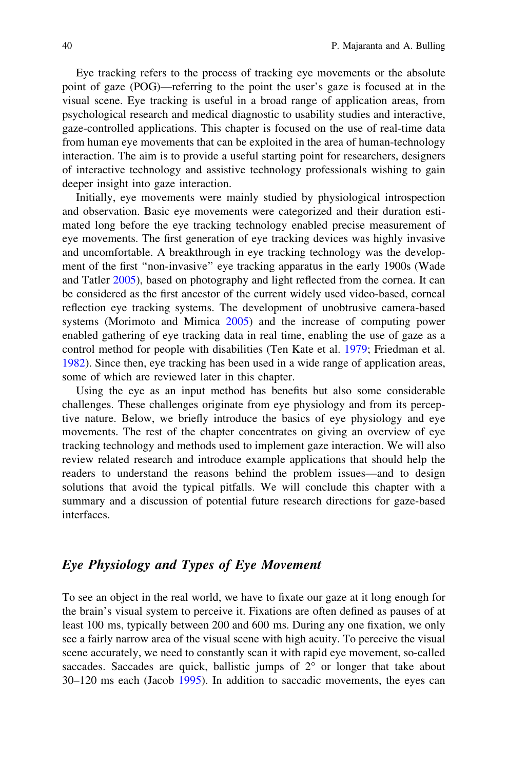Eye tracking refers to the process of tracking eye movements or the absolute point of gaze (POG)—referring to the point the user's gaze is focused at in the visual scene. Eye tracking is useful in a broad range of application areas, from psychological research and medical diagnostic to usability studies and interactive, gaze-controlled applications. This chapter is focused on the use of real-time data from human eye movements that can be exploited in the area of human-technology interaction. The aim is to provide a useful starting point for researchers, designers of interactive technology and assistive technology professionals wishing to gain deeper insight into gaze interaction.

Initially, eye movements were mainly studied by physiological introspection and observation. Basic eye movements were categorized and their duration estimated long before the eye tracking technology enabled precise measurement of eye movements. The first generation of eye tracking devices was highly invasive and uncomfortable. A breakthrough in eye tracking technology was the development of the first ''non-invasive'' eye tracking apparatus in the early 1900s (Wade and Tatler [2005\)](#page-26-0), based on photography and light reflected from the cornea. It can be considered as the first ancestor of the current widely used video-based, corneal reflection eye tracking systems. The development of unobtrusive camera-based systems (Morimoto and Mimica [2005\)](#page-24-0) and the increase of computing power enabled gathering of eye tracking data in real time, enabling the use of gaze as a control method for people with disabilities (Ten Kate et al. [1979;](#page-25-0) Friedman et al. [1982\)](#page-22-0). Since then, eye tracking has been used in a wide range of application areas, some of which are reviewed later in this chapter.

Using the eye as an input method has benefits but also some considerable challenges. These challenges originate from eye physiology and from its perceptive nature. Below, we briefly introduce the basics of eye physiology and eye movements. The rest of the chapter concentrates on giving an overview of eye tracking technology and methods used to implement gaze interaction. We will also review related research and introduce example applications that should help the readers to understand the reasons behind the problem issues—and to design solutions that avoid the typical pitfalls. We will conclude this chapter with a summary and a discussion of potential future research directions for gaze-based interfaces.

# Eye Physiology and Types of Eye Movement

To see an object in the real world, we have to fixate our gaze at it long enough for the brain's visual system to perceive it. Fixations are often defined as pauses of at least 100 ms, typically between 200 and 600 ms. During any one fixation, we only see a fairly narrow area of the visual scene with high acuity. To perceive the visual scene accurately, we need to constantly scan it with rapid eye movement, so-called saccades. Saccades are quick, ballistic jumps of  $2^\circ$  or longer that take about 30–120 ms each (Jacob [1995](#page-23-0)). In addition to saccadic movements, the eyes can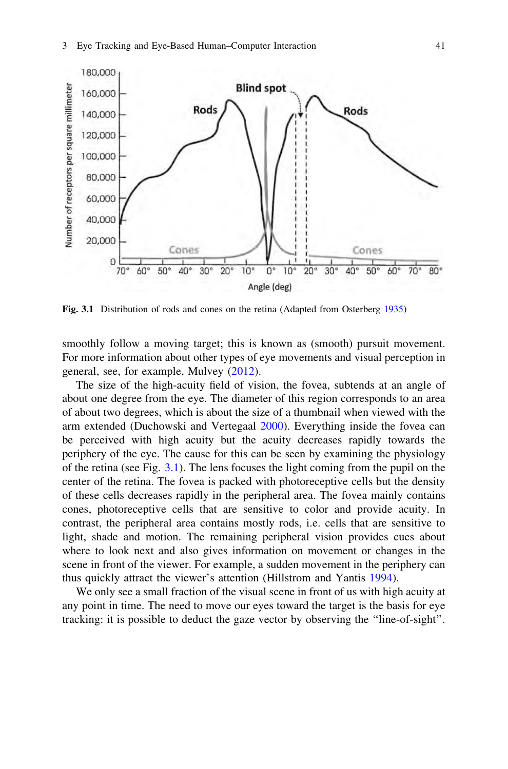

Fig. 3.1 Distribution of rods and cones on the retina (Adapted from Osterberg [1935](#page-24-0))

smoothly follow a moving target; this is known as (smooth) pursuit movement. For more information about other types of eye movements and visual perception in general, see, for example, Mulvey [\(2012](#page-24-0)).

The size of the high-acuity field of vision, the fovea, subtends at an angle of about one degree from the eye. The diameter of this region corresponds to an area of about two degrees, which is about the size of a thumbnail when viewed with the arm extended (Duchowski and Vertegaal [2000](#page-22-0)). Everything inside the fovea can be perceived with high acuity but the acuity decreases rapidly towards the periphery of the eye. The cause for this can be seen by examining the physiology of the retina (see Fig. 3.1). The lens focuses the light coming from the pupil on the center of the retina. The fovea is packed with photoreceptive cells but the density of these cells decreases rapidly in the peripheral area. The fovea mainly contains cones, photoreceptive cells that are sensitive to color and provide acuity. In contrast, the peripheral area contains mostly rods, i.e. cells that are sensitive to light, shade and motion. The remaining peripheral vision provides cues about where to look next and also gives information on movement or changes in the scene in front of the viewer. For example, a sudden movement in the periphery can thus quickly attract the viewer's attention (Hillstrom and Yantis [1994\)](#page-23-0).

We only see a small fraction of the visual scene in front of us with high acuity at any point in time. The need to move our eyes toward the target is the basis for eye tracking: it is possible to deduct the gaze vector by observing the ''line-of-sight''.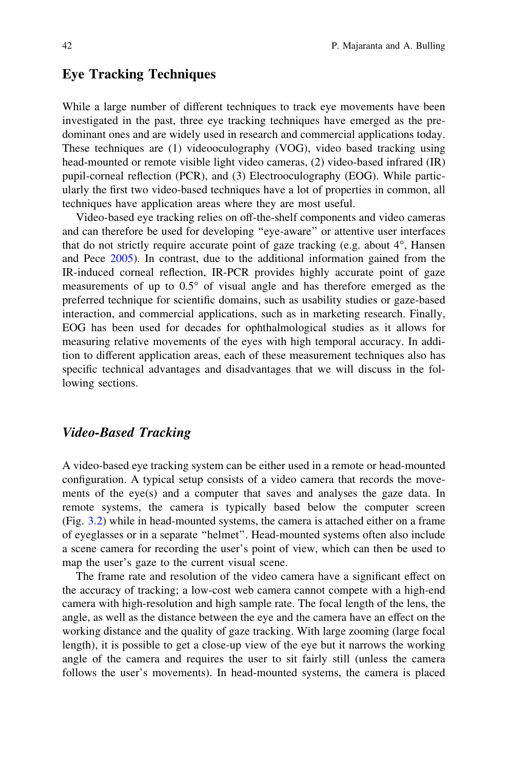# Eye Tracking Techniques

While a large number of different techniques to track eye movements have been investigated in the past, three eye tracking techniques have emerged as the predominant ones and are widely used in research and commercial applications today. These techniques are (1) videooculography (VOG), video based tracking using head-mounted or remote visible light video cameras, (2) video-based infrared (IR) pupil-corneal reflection (PCR), and (3) Electrooculography (EOG). While particularly the first two video-based techniques have a lot of properties in common, all techniques have application areas where they are most useful.

Video-based eye tracking relies on off-the-shelf components and video cameras and can therefore be used for developing ''eye-aware'' or attentive user interfaces that do not strictly require accurate point of gaze tracking (e.g. about  $4^\circ$ ). Hansen and Pece [2005](#page-22-0)). In contrast, due to the additional information gained from the IR-induced corneal reflection, IR-PCR provides highly accurate point of gaze measurements of up to  $0.5^{\circ}$  of visual angle and has therefore emerged as the preferred technique for scientific domains, such as usability studies or gaze-based interaction, and commercial applications, such as in marketing research. Finally, EOG has been used for decades for ophthalmological studies as it allows for measuring relative movements of the eyes with high temporal accuracy. In addition to different application areas, each of these measurement techniques also has specific technical advantages and disadvantages that we will discuss in the following sections.

## Video-Based Tracking

A video-based eye tracking system can be either used in a remote or head-mounted configuration. A typical setup consists of a video camera that records the movements of the eye(s) and a computer that saves and analyses the gaze data. In remote systems, the camera is typically based below the computer screen (Fig. [3.2\)](#page-4-0) while in head-mounted systems, the camera is attached either on a frame of eyeglasses or in a separate ''helmet''. Head-mounted systems often also include a scene camera for recording the user's point of view, which can then be used to map the user's gaze to the current visual scene.

The frame rate and resolution of the video camera have a significant effect on the accuracy of tracking; a low-cost web camera cannot compete with a high-end camera with high-resolution and high sample rate. The focal length of the lens, the angle, as well as the distance between the eye and the camera have an effect on the working distance and the quality of gaze tracking. With large zooming (large focal length), it is possible to get a close-up view of the eye but it narrows the working angle of the camera and requires the user to sit fairly still (unless the camera follows the user's movements). In head-mounted systems, the camera is placed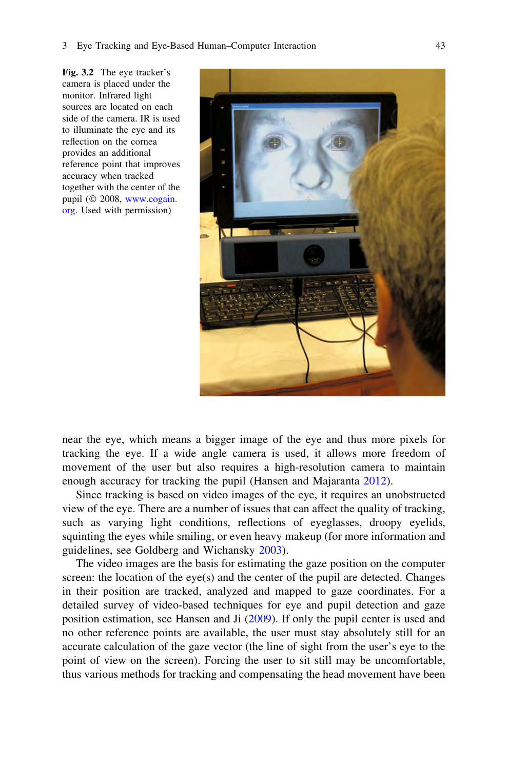<span id="page-4-0"></span>Fig. 3.2 The eye tracker's camera is placed under the monitor. Infrared light sources are located on each side of the camera. IR is used to illuminate the eye and its reflection on the cornea provides an additional reference point that improves accuracy when tracked together with the center of the pupil (© 2008, [www.cogain.](http://www.cogain.org) [org](http://www.cogain.org). Used with permission)



near the eye, which means a bigger image of the eye and thus more pixels for tracking the eye. If a wide angle camera is used, it allows more freedom of movement of the user but also requires a high-resolution camera to maintain enough accuracy for tracking the pupil (Hansen and Majaranta [2012\)](#page-22-0).

Since tracking is based on video images of the eye, it requires an unobstructed view of the eye. There are a number of issues that can affect the quality of tracking, such as varying light conditions, reflections of eyeglasses, droopy eyelids, squinting the eyes while smiling, or even heavy makeup (for more information and guidelines, see Goldberg and Wichansky [2003](#page-22-0)).

The video images are the basis for estimating the gaze position on the computer screen: the location of the eye(s) and the center of the pupil are detected. Changes in their position are tracked, analyzed and mapped to gaze coordinates. For a detailed survey of video-based techniques for eye and pupil detection and gaze position estimation, see Hansen and Ji [\(2009](#page-22-0)). If only the pupil center is used and no other reference points are available, the user must stay absolutely still for an accurate calculation of the gaze vector (the line of sight from the user's eye to the point of view on the screen). Forcing the user to sit still may be uncomfortable, thus various methods for tracking and compensating the head movement have been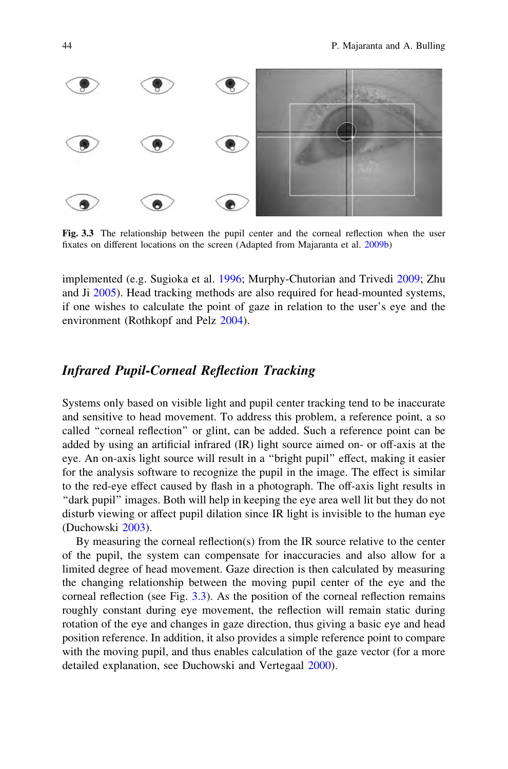<span id="page-5-0"></span>

Fig. 3.3 The relationship between the pupil center and the corneal reflection when the user fixates on different locations on the screen (Adapted from Majaranta et al. [2009b\)](#page-24-0)

implemented (e.g. Sugioka et al. [1996](#page-25-0); Murphy-Chutorian and Trivedi [2009;](#page-24-0) Zhu and Ji [2005\)](#page-26-0). Head tracking methods are also required for head-mounted systems, if one wishes to calculate the point of gaze in relation to the user's eye and the environment (Rothkopf and Pelz [2004\)](#page-25-0).

# Infrared Pupil-Corneal Reflection Tracking

Systems only based on visible light and pupil center tracking tend to be inaccurate and sensitive to head movement. To address this problem, a reference point, a so called ''corneal reflection'' or glint, can be added. Such a reference point can be added by using an artificial infrared (IR) light source aimed on- or off-axis at the eye. An on-axis light source will result in a ''bright pupil'' effect, making it easier for the analysis software to recognize the pupil in the image. The effect is similar to the red-eye effect caused by flash in a photograph. The off-axis light results in "dark pupil" images. Both will help in keeping the eye area well lit but they do not disturb viewing or affect pupil dilation since IR light is invisible to the human eye (Duchowski [2003\)](#page-21-0).

By measuring the corneal reflection(s) from the IR source relative to the center of the pupil, the system can compensate for inaccuracies and also allow for a limited degree of head movement. Gaze direction is then calculated by measuring the changing relationship between the moving pupil center of the eye and the corneal reflection (see Fig. 3.3). As the position of the corneal reflection remains roughly constant during eye movement, the reflection will remain static during rotation of the eye and changes in gaze direction, thus giving a basic eye and head position reference. In addition, it also provides a simple reference point to compare with the moving pupil, and thus enables calculation of the gaze vector (for a more detailed explanation, see Duchowski and Vertegaal [2000\)](#page-22-0).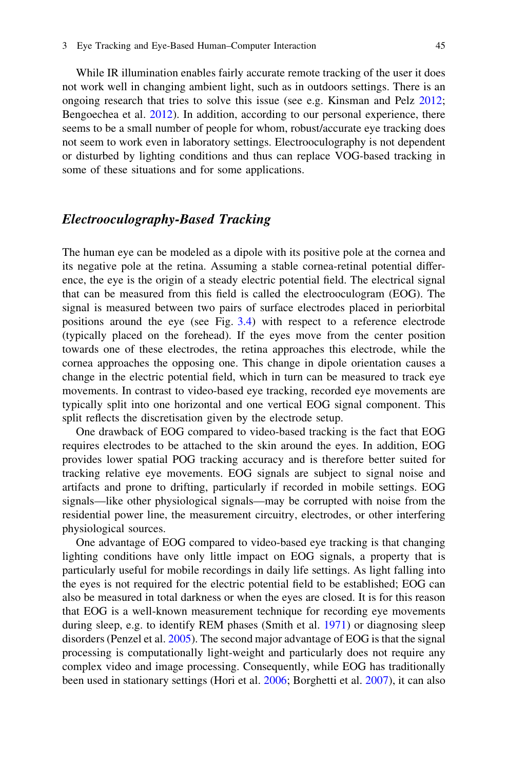While IR illumination enables fairly accurate remote tracking of the user it does not work well in changing ambient light, such as in outdoors settings. There is an ongoing research that tries to solve this issue (see e.g. Kinsman and Pelz [2012;](#page-23-0) Bengoechea et al. [2012\)](#page-20-0). In addition, according to our personal experience, there seems to be a small number of people for whom, robust/accurate eye tracking does not seem to work even in laboratory settings. Electrooculography is not dependent or disturbed by lighting conditions and thus can replace VOG-based tracking in some of these situations and for some applications.

# Electrooculography-Based Tracking

The human eye can be modeled as a dipole with its positive pole at the cornea and its negative pole at the retina. Assuming a stable cornea-retinal potential difference, the eye is the origin of a steady electric potential field. The electrical signal that can be measured from this field is called the electrooculogram (EOG). The signal is measured between two pairs of surface electrodes placed in periorbital positions around the eye (see Fig. [3.4\)](#page-7-0) with respect to a reference electrode (typically placed on the forehead). If the eyes move from the center position towards one of these electrodes, the retina approaches this electrode, while the cornea approaches the opposing one. This change in dipole orientation causes a change in the electric potential field, which in turn can be measured to track eye movements. In contrast to video-based eye tracking, recorded eye movements are typically split into one horizontal and one vertical EOG signal component. This split reflects the discretisation given by the electrode setup.

One drawback of EOG compared to video-based tracking is the fact that EOG requires electrodes to be attached to the skin around the eyes. In addition, EOG provides lower spatial POG tracking accuracy and is therefore better suited for tracking relative eye movements. EOG signals are subject to signal noise and artifacts and prone to drifting, particularly if recorded in mobile settings. EOG signals—like other physiological signals—may be corrupted with noise from the residential power line, the measurement circuitry, electrodes, or other interfering physiological sources.

One advantage of EOG compared to video-based eye tracking is that changing lighting conditions have only little impact on EOG signals, a property that is particularly useful for mobile recordings in daily life settings. As light falling into the eyes is not required for the electric potential field to be established; EOG can also be measured in total darkness or when the eyes are closed. It is for this reason that EOG is a well-known measurement technique for recording eye movements during sleep, e.g. to identify REM phases (Smith et al. [1971](#page-25-0)) or diagnosing sleep disorders (Penzel et al. [2005\)](#page-24-0). The second major advantage of EOG is that the signal processing is computationally light-weight and particularly does not require any complex video and image processing. Consequently, while EOG has traditionally been used in stationary settings (Hori et al. [2006](#page-23-0); Borghetti et al. [2007](#page-20-0)), it can also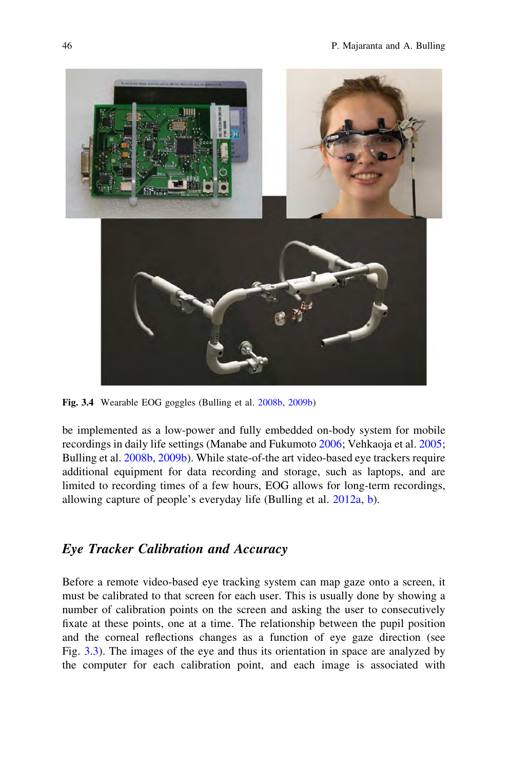<span id="page-7-0"></span>

Fig. 3.4 Wearable EOG goggles (Bulling et al. [2008b](#page-21-0), [2009b\)](#page-21-0)

be implemented as a low-power and fully embedded on-body system for mobile recordings in daily life settings (Manabe and Fukumoto [2006;](#page-24-0) Vehkaoja et al. [2005;](#page-26-0) Bulling et al. [2008b](#page-21-0), [2009b\)](#page-21-0). While state-of-the art video-based eye trackers require additional equipment for data recording and storage, such as laptops, and are limited to recording times of a few hours, EOG allows for long-term recordings, allowing capture of people's everyday life (Bulling et al. [2012a,](#page-20-0) [b\)](#page-21-0).

# Eye Tracker Calibration and Accuracy

Before a remote video-based eye tracking system can map gaze onto a screen, it must be calibrated to that screen for each user. This is usually done by showing a number of calibration points on the screen and asking the user to consecutively fixate at these points, one at a time. The relationship between the pupil position and the corneal reflections changes as a function of eye gaze direction (see Fig. [3.3](#page-5-0)). The images of the eye and thus its orientation in space are analyzed by the computer for each calibration point, and each image is associated with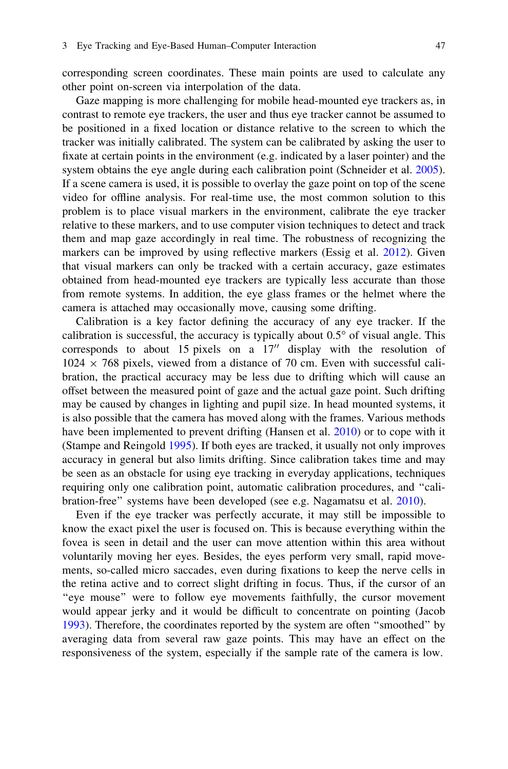corresponding screen coordinates. These main points are used to calculate any other point on-screen via interpolation of the data.

Gaze mapping is more challenging for mobile head-mounted eye trackers as, in contrast to remote eye trackers, the user and thus eye tracker cannot be assumed to be positioned in a fixed location or distance relative to the screen to which the tracker was initially calibrated. The system can be calibrated by asking the user to fixate at certain points in the environment (e.g. indicated by a laser pointer) and the system obtains the eye angle during each calibration point (Schneider et al. [2005\)](#page-25-0). If a scene camera is used, it is possible to overlay the gaze point on top of the scene video for offline analysis. For real-time use, the most common solution to this problem is to place visual markers in the environment, calibrate the eye tracker relative to these markers, and to use computer vision techniques to detect and track them and map gaze accordingly in real time. The robustness of recognizing the markers can be improved by using reflective markers (Essig et al. [2012\)](#page-22-0). Given that visual markers can only be tracked with a certain accuracy, gaze estimates obtained from head-mounted eye trackers are typically less accurate than those from remote systems. In addition, the eye glass frames or the helmet where the camera is attached may occasionally move, causing some drifting.

Calibration is a key factor defining the accuracy of any eye tracker. If the calibration is successful, the accuracy is typically about  $0.5^{\circ}$  of visual angle. This corresponds to about 15 pixels on a  $17''$  display with the resolution of  $1024 \times 768$  pixels, viewed from a distance of 70 cm. Even with successful calibration, the practical accuracy may be less due to drifting which will cause an offset between the measured point of gaze and the actual gaze point. Such drifting may be caused by changes in lighting and pupil size. In head mounted systems, it is also possible that the camera has moved along with the frames. Various methods have been implemented to prevent drifting (Hansen et al. [2010\)](#page-22-0) or to cope with it (Stampe and Reingold [1995\)](#page-25-0). If both eyes are tracked, it usually not only improves accuracy in general but also limits drifting. Since calibration takes time and may be seen as an obstacle for using eye tracking in everyday applications, techniques requiring only one calibration point, automatic calibration procedures, and ''calibration-free'' systems have been developed (see e.g. Nagamatsu et al. [2010](#page-24-0)).

Even if the eye tracker was perfectly accurate, it may still be impossible to know the exact pixel the user is focused on. This is because everything within the fovea is seen in detail and the user can move attention within this area without voluntarily moving her eyes. Besides, the eyes perform very small, rapid movements, so-called micro saccades, even during fixations to keep the nerve cells in the retina active and to correct slight drifting in focus. Thus, if the cursor of an ''eye mouse'' were to follow eye movements faithfully, the cursor movement would appear jerky and it would be difficult to concentrate on pointing (Jacob [1993\)](#page-23-0). Therefore, the coordinates reported by the system are often ''smoothed'' by averaging data from several raw gaze points. This may have an effect on the responsiveness of the system, especially if the sample rate of the camera is low.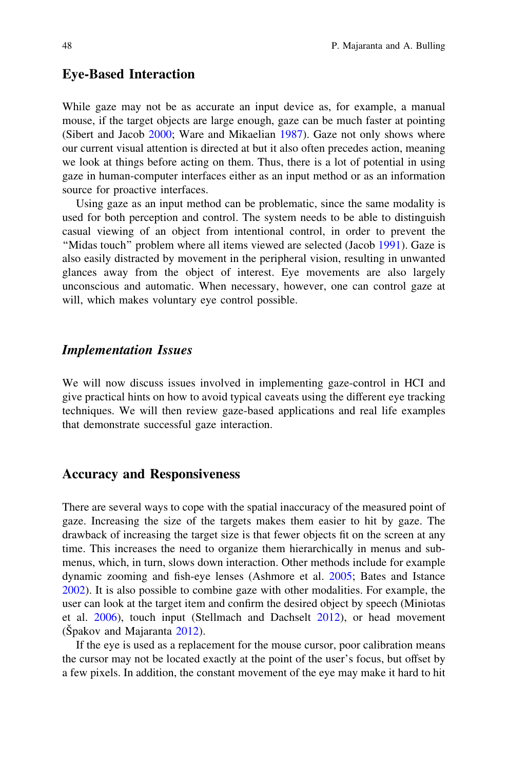#### Eye-Based Interaction

While gaze may not be as accurate an input device as, for example, a manual mouse, if the target objects are large enough, gaze can be much faster at pointing (Sibert and Jacob [2000;](#page-25-0) Ware and Mikaelian [1987](#page-26-0)). Gaze not only shows where our current visual attention is directed at but it also often precedes action, meaning we look at things before acting on them. Thus, there is a lot of potential in using gaze in human-computer interfaces either as an input method or as an information source for proactive interfaces.

Using gaze as an input method can be problematic, since the same modality is used for both perception and control. The system needs to be able to distinguish casual viewing of an object from intentional control, in order to prevent the ''Midas touch'' problem where all items viewed are selected (Jacob [1991](#page-23-0)). Gaze is also easily distracted by movement in the peripheral vision, resulting in unwanted glances away from the object of interest. Eye movements are also largely unconscious and automatic. When necessary, however, one can control gaze at will, which makes voluntary eye control possible.

#### Implementation Issues

We will now discuss issues involved in implementing gaze-control in HCI and give practical hints on how to avoid typical caveats using the different eye tracking techniques. We will then review gaze-based applications and real life examples that demonstrate successful gaze interaction.

#### Accuracy and Responsiveness

There are several ways to cope with the spatial inaccuracy of the measured point of gaze. Increasing the size of the targets makes them easier to hit by gaze. The drawback of increasing the target size is that fewer objects fit on the screen at any time. This increases the need to organize them hierarchically in menus and submenus, which, in turn, slows down interaction. Other methods include for example dynamic zooming and fish-eye lenses (Ashmore et al. [2005;](#page-20-0) Bates and Istance [2002\)](#page-20-0). It is also possible to combine gaze with other modalities. For example, the user can look at the target item and confirm the desired object by speech (Miniotas et al. [2006](#page-24-0)), touch input (Stellmach and Dachselt [2012](#page-25-0)), or head movement (Špakov and Majaranta [2012](#page-25-0)).

If the eye is used as a replacement for the mouse cursor, poor calibration means the cursor may not be located exactly at the point of the user's focus, but offset by a few pixels. In addition, the constant movement of the eye may make it hard to hit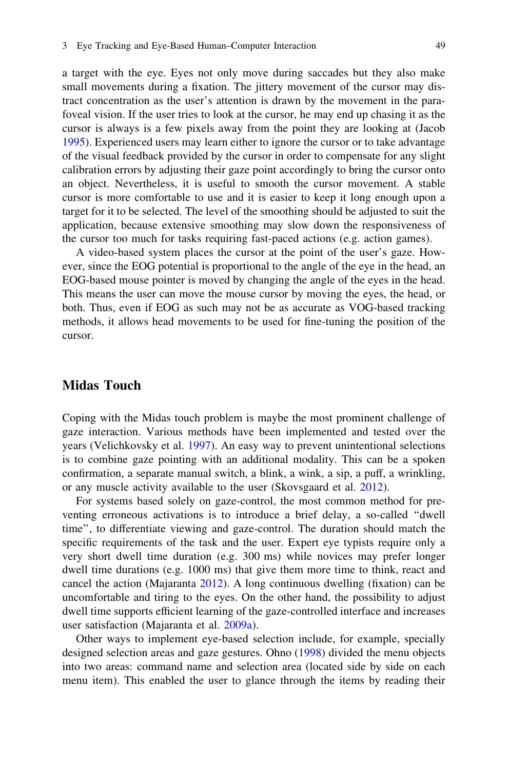a target with the eye. Eyes not only move during saccades but they also make small movements during a fixation. The jittery movement of the cursor may distract concentration as the user's attention is drawn by the movement in the parafoveal vision. If the user tries to look at the cursor, he may end up chasing it as the cursor is always is a few pixels away from the point they are looking at (Jacob [1995\)](#page-23-0). Experienced users may learn either to ignore the cursor or to take advantage of the visual feedback provided by the cursor in order to compensate for any slight calibration errors by adjusting their gaze point accordingly to bring the cursor onto an object. Nevertheless, it is useful to smooth the cursor movement. A stable cursor is more comfortable to use and it is easier to keep it long enough upon a target for it to be selected. The level of the smoothing should be adjusted to suit the application, because extensive smoothing may slow down the responsiveness of the cursor too much for tasks requiring fast-paced actions (e.g. action games).

A video-based system places the cursor at the point of the user's gaze. However, since the EOG potential is proportional to the angle of the eye in the head, an EOG-based mouse pointer is moved by changing the angle of the eyes in the head. This means the user can move the mouse cursor by moving the eyes, the head, or both. Thus, even if EOG as such may not be as accurate as VOG-based tracking methods, it allows head movements to be used for fine-tuning the position of the cursor.

## Midas Touch

Coping with the Midas touch problem is maybe the most prominent challenge of gaze interaction. Various methods have been implemented and tested over the years (Velichkovsky et al. [1997](#page-26-0)). An easy way to prevent unintentional selections is to combine gaze pointing with an additional modality. This can be a spoken confirmation, a separate manual switch, a blink, a wink, a sip, a puff, a wrinkling, or any muscle activity available to the user (Skovsgaard et al. [2012\)](#page-25-0).

For systems based solely on gaze-control, the most common method for preventing erroneous activations is to introduce a brief delay, a so-called ''dwell time'', to differentiate viewing and gaze-control. The duration should match the specific requirements of the task and the user. Expert eye typists require only a very short dwell time duration (e.g. 300 ms) while novices may prefer longer dwell time durations (e.g. 1000 ms) that give them more time to think, react and cancel the action (Majaranta [2012\)](#page-24-0). A long continuous dwelling (fixation) can be uncomfortable and tiring to the eyes. On the other hand, the possibility to adjust dwell time supports efficient learning of the gaze-controlled interface and increases user satisfaction (Majaranta et al. [2009a](#page-24-0)).

Other ways to implement eye-based selection include, for example, specially designed selection areas and gaze gestures. Ohno [\(1998](#page-24-0)) divided the menu objects into two areas: command name and selection area (located side by side on each menu item). This enabled the user to glance through the items by reading their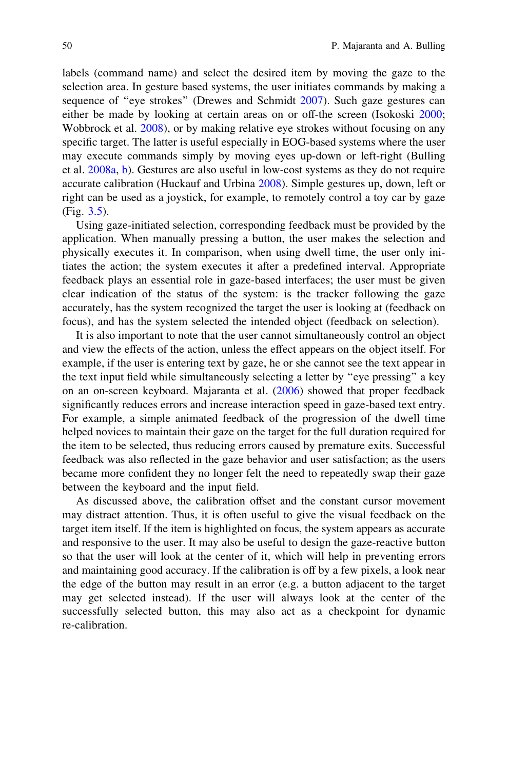labels (command name) and select the desired item by moving the gaze to the selection area. In gesture based systems, the user initiates commands by making a sequence of ''eye strokes'' (Drewes and Schmidt [2007\)](#page-21-0). Such gaze gestures can either be made by looking at certain areas on or off-the screen (Isokoski [2000;](#page-23-0) Wobbrock et al. [2008\)](#page-26-0), or by making relative eye strokes without focusing on any specific target. The latter is useful especially in EOG-based systems where the user may execute commands simply by moving eyes up-down or left-right (Bulling et al. [2008a](#page-21-0), [b\)](#page-21-0). Gestures are also useful in low-cost systems as they do not require accurate calibration (Huckauf and Urbina [2008\)](#page-23-0). Simple gestures up, down, left or right can be used as a joystick, for example, to remotely control a toy car by gaze (Fig. [3.5\)](#page-12-0).

Using gaze-initiated selection, corresponding feedback must be provided by the application. When manually pressing a button, the user makes the selection and physically executes it. In comparison, when using dwell time, the user only initiates the action; the system executes it after a predefined interval. Appropriate feedback plays an essential role in gaze-based interfaces; the user must be given clear indication of the status of the system: is the tracker following the gaze accurately, has the system recognized the target the user is looking at (feedback on focus), and has the system selected the intended object (feedback on selection).

It is also important to note that the user cannot simultaneously control an object and view the effects of the action, unless the effect appears on the object itself. For example, if the user is entering text by gaze, he or she cannot see the text appear in the text input field while simultaneously selecting a letter by ''eye pressing'' a key on an on-screen keyboard. Majaranta et al. [\(2006](#page-24-0)) showed that proper feedback significantly reduces errors and increase interaction speed in gaze-based text entry. For example, a simple animated feedback of the progression of the dwell time helped novices to maintain their gaze on the target for the full duration required for the item to be selected, thus reducing errors caused by premature exits. Successful feedback was also reflected in the gaze behavior and user satisfaction; as the users became more confident they no longer felt the need to repeatedly swap their gaze between the keyboard and the input field.

As discussed above, the calibration offset and the constant cursor movement may distract attention. Thus, it is often useful to give the visual feedback on the target item itself. If the item is highlighted on focus, the system appears as accurate and responsive to the user. It may also be useful to design the gaze-reactive button so that the user will look at the center of it, which will help in preventing errors and maintaining good accuracy. If the calibration is off by a few pixels, a look near the edge of the button may result in an error (e.g. a button adjacent to the target may get selected instead). If the user will always look at the center of the successfully selected button, this may also act as a checkpoint for dynamic re-calibration.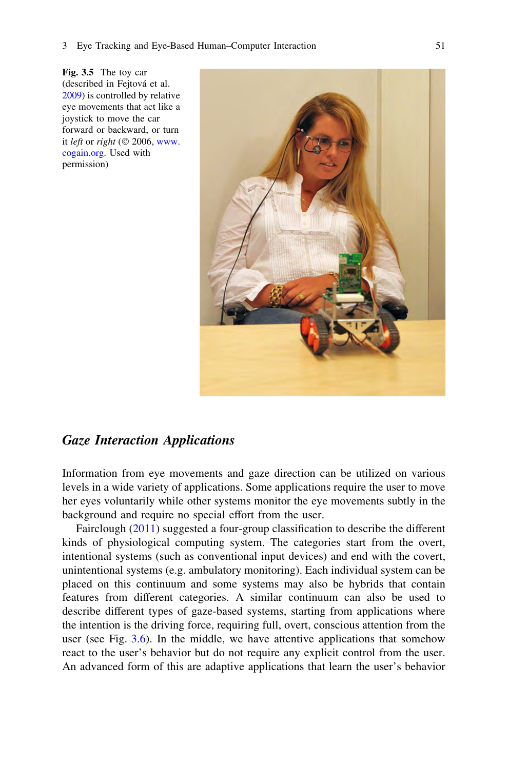<span id="page-12-0"></span>Fig. 3.5 The toy car (described in Fejtová et al. [2009\)](#page-22-0) is controlled by relative eye movements that act like a joystick to move the car forward or backward, or turn it *left* or *right* (© 2006, [www.](http://www.cogain.org) [cogain.org.](http://www.cogain.org) Used with permission)



# Gaze Interaction Applications

Information from eye movements and gaze direction can be utilized on various levels in a wide variety of applications. Some applications require the user to move her eyes voluntarily while other systems monitor the eye movements subtly in the background and require no special effort from the user.

Fairclough [\(2011\)](#page-22-0) suggested a four-group classification to describe the different kinds of physiological computing system. The categories start from the overt, intentional systems (such as conventional input devices) and end with the covert, unintentional systems (e.g. ambulatory monitoring). Each individual system can be placed on this continuum and some systems may also be hybrids that contain features from different categories. A similar continuum can also be used to describe different types of gaze-based systems, starting from applications where the intention is the driving force, requiring full, overt, conscious attention from the user (see Fig. [3.6](#page-13-0)). In the middle, we have attentive applications that somehow react to the user's behavior but do not require any explicit control from the user. An advanced form of this are adaptive applications that learn the user's behavior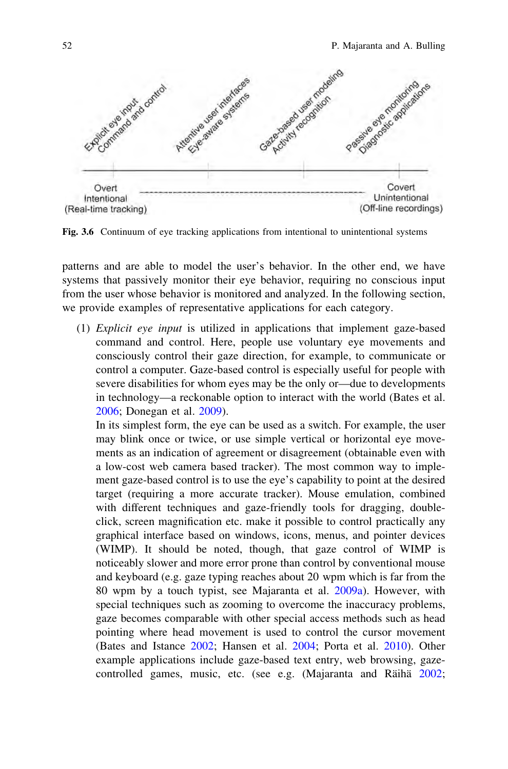<span id="page-13-0"></span>

Fig. 3.6 Continuum of eye tracking applications from intentional to unintentional systems

patterns and are able to model the user's behavior. In the other end, we have systems that passively monitor their eye behavior, requiring no conscious input from the user whose behavior is monitored and analyzed. In the following section, we provide examples of representative applications for each category.

(1) Explicit eye input is utilized in applications that implement gaze-based command and control. Here, people use voluntary eye movements and consciously control their gaze direction, for example, to communicate or control a computer. Gaze-based control is especially useful for people with severe disabilities for whom eyes may be the only or—due to developments in technology—a reckonable option to interact with the world (Bates et al. [2006;](#page-20-0) Donegan et al. [2009](#page-21-0)).

In its simplest form, the eye can be used as a switch. For example, the user may blink once or twice, or use simple vertical or horizontal eye movements as an indication of agreement or disagreement (obtainable even with a low-cost web camera based tracker). The most common way to implement gaze-based control is to use the eye's capability to point at the desired target (requiring a more accurate tracker). Mouse emulation, combined with different techniques and gaze-friendly tools for dragging, doubleclick, screen magnification etc. make it possible to control practically any graphical interface based on windows, icons, menus, and pointer devices (WIMP). It should be noted, though, that gaze control of WIMP is noticeably slower and more error prone than control by conventional mouse and keyboard (e.g. gaze typing reaches about 20 wpm which is far from the 80 wpm by a touch typist, see Majaranta et al. [2009a\)](#page-24-0). However, with special techniques such as zooming to overcome the inaccuracy problems, gaze becomes comparable with other special access methods such as head pointing where head movement is used to control the cursor movement (Bates and Istance [2002](#page-20-0); Hansen et al. [2004](#page-22-0); Porta et al. [2010](#page-25-0)). Other example applications include gaze-based text entry, web browsing, gazecontrolled games, music, etc. (see e.g. (Majaranta and Räihä [2002;](#page-24-0)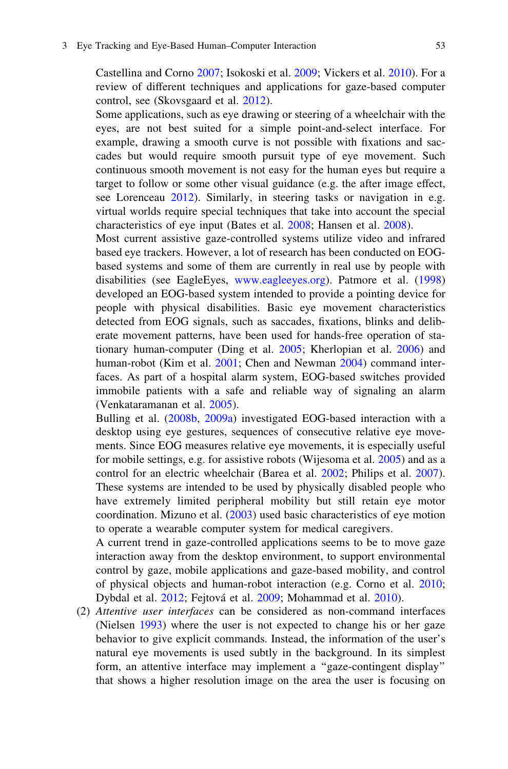Castellina and Corno [2007](#page-21-0); Isokoski et al. [2009;](#page-23-0) Vickers et al. [2010](#page-26-0)). For a review of different techniques and applications for gaze-based computer control, see (Skovsgaard et al. [2012](#page-25-0)).

Some applications, such as eye drawing or steering of a wheelchair with the eyes, are not best suited for a simple point-and-select interface. For example, drawing a smooth curve is not possible with fixations and saccades but would require smooth pursuit type of eye movement. Such continuous smooth movement is not easy for the human eyes but require a target to follow or some other visual guidance (e.g. the after image effect, see Lorenceau [2012\)](#page-23-0). Similarly, in steering tasks or navigation in e.g. virtual worlds require special techniques that take into account the special characteristics of eye input (Bates et al. [2008](#page-20-0); Hansen et al. [2008](#page-22-0)).

Most current assistive gaze-controlled systems utilize video and infrared based eye trackers. However, a lot of research has been conducted on EOGbased systems and some of them are currently in real use by people with disabilities (see EagleEyes, [www.eagleeyes.org\)](http://www.eagleeyes.org). Patmore et al. [\(1998](#page-24-0)) developed an EOG-based system intended to provide a pointing device for people with physical disabilities. Basic eye movement characteristics detected from EOG signals, such as saccades, fixations, blinks and deliberate movement patterns, have been used for hands-free operation of stationary human-computer (Ding et al. [2005](#page-21-0); Kherlopian et al. [2006](#page-23-0)) and human-robot (Kim et al. [2001](#page-23-0); Chen and Newman [2004](#page-21-0)) command interfaces. As part of a hospital alarm system, EOG-based switches provided immobile patients with a safe and reliable way of signaling an alarm (Venkataramanan et al. [2005](#page-26-0)).

Bulling et al. ([2008b,](#page-21-0) [2009a\)](#page-21-0) investigated EOG-based interaction with a desktop using eye gestures, sequences of consecutive relative eye movements. Since EOG measures relative eye movements, it is especially useful for mobile settings, e.g. for assistive robots (Wijesoma et al. [2005](#page-26-0)) and as a control for an electric wheelchair (Barea et al. [2002](#page-20-0); Philips et al. [2007\)](#page-25-0). These systems are intended to be used by physically disabled people who have extremely limited peripheral mobility but still retain eye motor coordination. Mizuno et al. ([2003\)](#page-24-0) used basic characteristics of eye motion to operate a wearable computer system for medical caregivers.

A current trend in gaze-controlled applications seems to be to move gaze interaction away from the desktop environment, to support environmental control by gaze, mobile applications and gaze-based mobility, and control of physical objects and human-robot interaction (e.g. Corno et al. [2010;](#page-21-0) Dybdal et al. [2012](#page-22-0); Fejtová et al. [2009;](#page-22-0) Mohammad et al. [2010](#page-24-0)).

(2) Attentive user interfaces can be considered as non-command interfaces (Nielsen [1993\)](#page-24-0) where the user is not expected to change his or her gaze behavior to give explicit commands. Instead, the information of the user's natural eye movements is used subtly in the background. In its simplest form, an attentive interface may implement a ''gaze-contingent display'' that shows a higher resolution image on the area the user is focusing on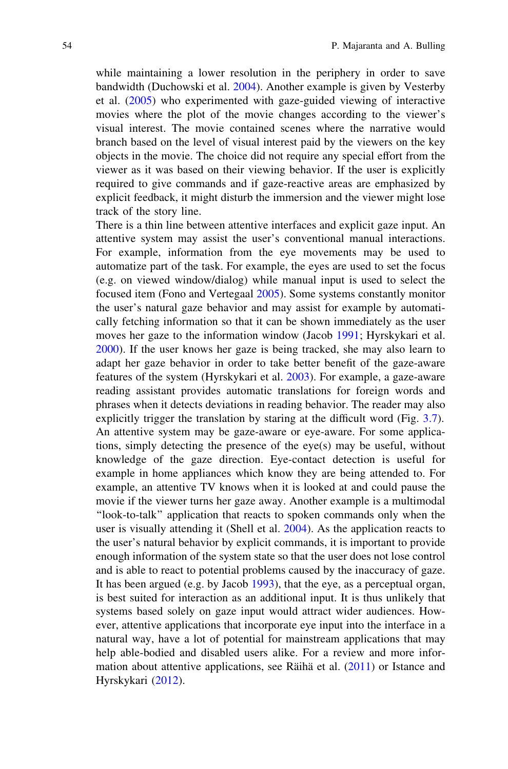while maintaining a lower resolution in the periphery in order to save bandwidth (Duchowski et al. [2004\)](#page-21-0). Another example is given by Vesterby et al. ([2005\)](#page-26-0) who experimented with gaze-guided viewing of interactive movies where the plot of the movie changes according to the viewer's visual interest. The movie contained scenes where the narrative would branch based on the level of visual interest paid by the viewers on the key objects in the movie. The choice did not require any special effort from the viewer as it was based on their viewing behavior. If the user is explicitly required to give commands and if gaze-reactive areas are emphasized by explicit feedback, it might disturb the immersion and the viewer might lose track of the story line.

There is a thin line between attentive interfaces and explicit gaze input. An attentive system may assist the user's conventional manual interactions. For example, information from the eye movements may be used to automatize part of the task. For example, the eyes are used to set the focus (e.g. on viewed window/dialog) while manual input is used to select the focused item (Fono and Vertegaal [2005](#page-22-0)). Some systems constantly monitor the user's natural gaze behavior and may assist for example by automatically fetching information so that it can be shown immediately as the user moves her gaze to the information window (Jacob [1991](#page-23-0); Hyrskykari et al. [2000\)](#page-23-0). If the user knows her gaze is being tracked, she may also learn to adapt her gaze behavior in order to take better benefit of the gaze-aware features of the system (Hyrskykari et al. [2003\)](#page-23-0). For example, a gaze-aware reading assistant provides automatic translations for foreign words and phrases when it detects deviations in reading behavior. The reader may also explicitly trigger the translation by staring at the difficult word (Fig. [3.7\)](#page-16-0). An attentive system may be gaze-aware or eye-aware. For some applications, simply detecting the presence of the eye(s) may be useful, without knowledge of the gaze direction. Eye-contact detection is useful for example in home appliances which know they are being attended to. For example, an attentive TV knows when it is looked at and could pause the movie if the viewer turns her gaze away. Another example is a multimodal ''look-to-talk'' application that reacts to spoken commands only when the user is visually attending it (Shell et al. [2004\)](#page-25-0). As the application reacts to the user's natural behavior by explicit commands, it is important to provide enough information of the system state so that the user does not lose control and is able to react to potential problems caused by the inaccuracy of gaze. It has been argued (e.g. by Jacob [1993\)](#page-23-0), that the eye, as a perceptual organ, is best suited for interaction as an additional input. It is thus unlikely that systems based solely on gaze input would attract wider audiences. However, attentive applications that incorporate eye input into the interface in a natural way, have a lot of potential for mainstream applications that may help able-bodied and disabled users alike. For a review and more information about attentive applications, see Räihä et al. [\(2011](#page-25-0)) or Istance and Hyrskykari ([2012](#page-23-0)).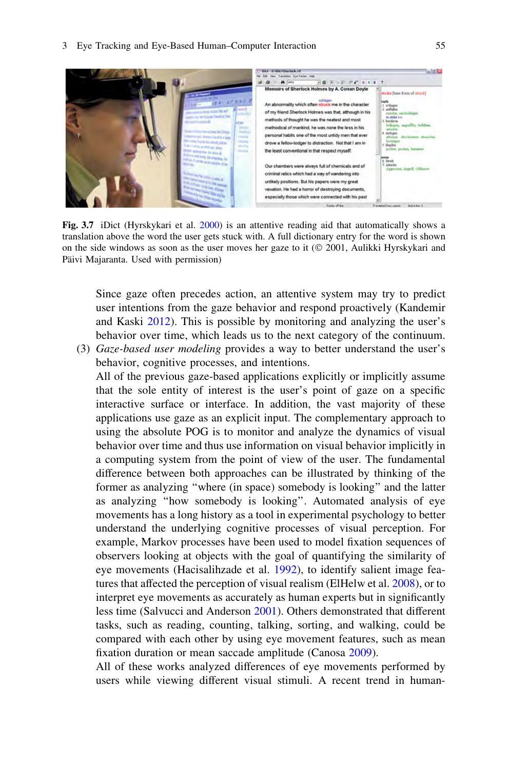<span id="page-16-0"></span>

Fig. 3.7 iDict (Hyrskykari et al. [2000\)](#page-23-0) is an attentive reading aid that automatically shows a translation above the word the user gets stuck with. A full dictionary entry for the word is shown on the side windows as soon as the user moves her gaze to it  $(\circ$  2001, Aulikki Hyrskykari and Päivi Majaranta. Used with permission)

Since gaze often precedes action, an attentive system may try to predict user intentions from the gaze behavior and respond proactively (Kandemir and Kaski [2012\)](#page-23-0). This is possible by monitoring and analyzing the user's behavior over time, which leads us to the next category of the continuum.

(3) Gaze-based user modeling provides a way to better understand the user's behavior, cognitive processes, and intentions. All of the previous gaze-based applications explicitly or implicitly assume that the sole entity of interest is the user's point of gaze on a specific interactive surface or interface. In addition, the vast majority of these applications use gaze as an explicit input. The complementary approach to using the absolute POG is to monitor and analyze the dynamics of visual behavior over time and thus use information on visual behavior implicitly in a computing system from the point of view of the user. The fundamental difference between both approaches can be illustrated by thinking of the former as analyzing ''where (in space) somebody is looking'' and the latter as analyzing ''how somebody is looking''. Automated analysis of eye movements has a long history as a tool in experimental psychology to better understand the underlying cognitive processes of visual perception. For example, Markov processes have been used to model fixation sequences of observers looking at objects with the goal of quantifying the similarity of eye movements (Hacisalihzade et al. [1992\)](#page-22-0), to identify salient image features that affected the perception of visual realism (ElHelw et al. [2008](#page-22-0)), or to interpret eye movements as accurately as human experts but in significantly less time (Salvucci and Anderson [2001\)](#page-25-0). Others demonstrated that different tasks, such as reading, counting, talking, sorting, and walking, could be compared with each other by using eye movement features, such as mean fixation duration or mean saccade amplitude (Canosa [2009\)](#page-21-0).

All of these works analyzed differences of eye movements performed by users while viewing different visual stimuli. A recent trend in human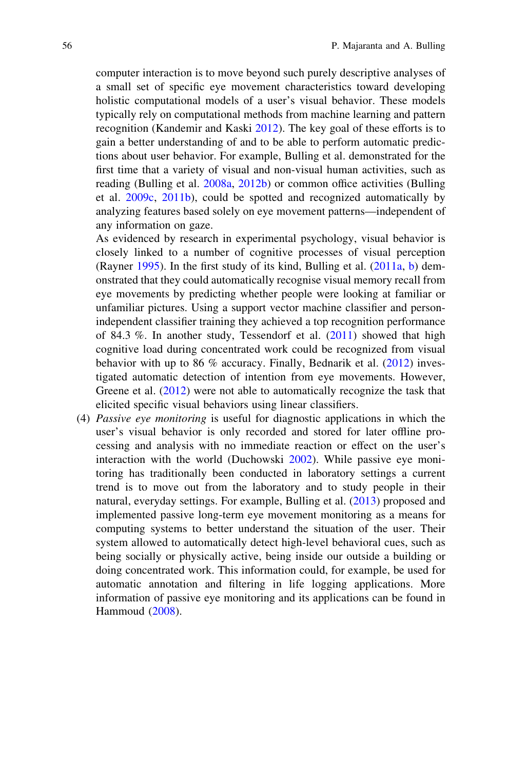computer interaction is to move beyond such purely descriptive analyses of a small set of specific eye movement characteristics toward developing holistic computational models of a user's visual behavior. These models typically rely on computational methods from machine learning and pattern recognition (Kandemir and Kaski [2012\)](#page-23-0). The key goal of these efforts is to gain a better understanding of and to be able to perform automatic predictions about user behavior. For example, Bulling et al. demonstrated for the first time that a variety of visual and non-visual human activities, such as reading (Bulling et al. [2008a,](#page-21-0) [2012b](#page-21-0)) or common office activities (Bulling et al. [2009c](#page-21-0), [2011b](#page-21-0)), could be spotted and recognized automatically by analyzing features based solely on eye movement patterns—independent of any information on gaze.

As evidenced by research in experimental psychology, visual behavior is closely linked to a number of cognitive processes of visual perception (Rayner [1995](#page-25-0)). In the first study of its kind, Bulling et al. ([2011a](#page-21-0), [b\)](#page-21-0) demonstrated that they could automatically recognise visual memory recall from eye movements by predicting whether people were looking at familiar or unfamiliar pictures. Using a support vector machine classifier and personindependent classifier training they achieved a top recognition performance of 84.3 %. In another study, Tessendorf et al. ([2011\)](#page-25-0) showed that high cognitive load during concentrated work could be recognized from visual behavior with up to 86 % accuracy. Finally, Bednarik et al. [\(2012](#page-20-0)) investigated automatic detection of intention from eye movements. However, Greene et al. [\(2012](#page-22-0)) were not able to automatically recognize the task that elicited specific visual behaviors using linear classifiers.

(4) Passive eye monitoring is useful for diagnostic applications in which the user's visual behavior is only recorded and stored for later offline processing and analysis with no immediate reaction or effect on the user's interaction with the world (Duchowski [2002](#page-21-0)). While passive eye monitoring has traditionally been conducted in laboratory settings a current trend is to move out from the laboratory and to study people in their natural, everyday settings. For example, Bulling et al. ([2013\)](#page-21-0) proposed and implemented passive long-term eye movement monitoring as a means for computing systems to better understand the situation of the user. Their system allowed to automatically detect high-level behavioral cues, such as being socially or physically active, being inside our outside a building or doing concentrated work. This information could, for example, be used for automatic annotation and filtering in life logging applications. More information of passive eye monitoring and its applications can be found in Hammoud ([2008\)](#page-22-0).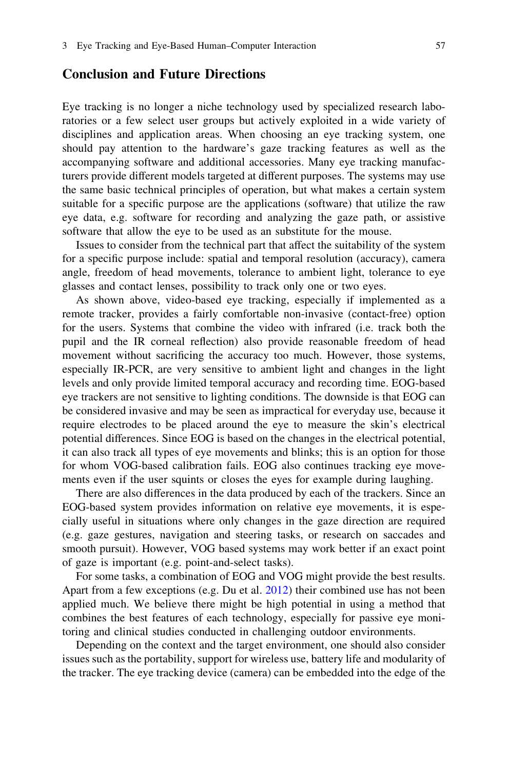#### Conclusion and Future Directions

Eye tracking is no longer a niche technology used by specialized research laboratories or a few select user groups but actively exploited in a wide variety of disciplines and application areas. When choosing an eye tracking system, one should pay attention to the hardware's gaze tracking features as well as the accompanying software and additional accessories. Many eye tracking manufacturers provide different models targeted at different purposes. The systems may use the same basic technical principles of operation, but what makes a certain system suitable for a specific purpose are the applications (software) that utilize the raw eye data, e.g. software for recording and analyzing the gaze path, or assistive software that allow the eye to be used as an substitute for the mouse.

Issues to consider from the technical part that affect the suitability of the system for a specific purpose include: spatial and temporal resolution (accuracy), camera angle, freedom of head movements, tolerance to ambient light, tolerance to eye glasses and contact lenses, possibility to track only one or two eyes.

As shown above, video-based eye tracking, especially if implemented as a remote tracker, provides a fairly comfortable non-invasive (contact-free) option for the users. Systems that combine the video with infrared (i.e. track both the pupil and the IR corneal reflection) also provide reasonable freedom of head movement without sacrificing the accuracy too much. However, those systems, especially IR-PCR, are very sensitive to ambient light and changes in the light levels and only provide limited temporal accuracy and recording time. EOG-based eye trackers are not sensitive to lighting conditions. The downside is that EOG can be considered invasive and may be seen as impractical for everyday use, because it require electrodes to be placed around the eye to measure the skin's electrical potential differences. Since EOG is based on the changes in the electrical potential, it can also track all types of eye movements and blinks; this is an option for those for whom VOG-based calibration fails. EOG also continues tracking eye movements even if the user squints or closes the eyes for example during laughing.

There are also differences in the data produced by each of the trackers. Since an EOG-based system provides information on relative eye movements, it is especially useful in situations where only changes in the gaze direction are required (e.g. gaze gestures, navigation and steering tasks, or research on saccades and smooth pursuit). However, VOG based systems may work better if an exact point of gaze is important (e.g. point-and-select tasks).

For some tasks, a combination of EOG and VOG might provide the best results. Apart from a few exceptions (e.g. Du et al. [2012\)](#page-21-0) their combined use has not been applied much. We believe there might be high potential in using a method that combines the best features of each technology, especially for passive eye monitoring and clinical studies conducted in challenging outdoor environments.

Depending on the context and the target environment, one should also consider issues such as the portability, support for wireless use, battery life and modularity of the tracker. The eye tracking device (camera) can be embedded into the edge of the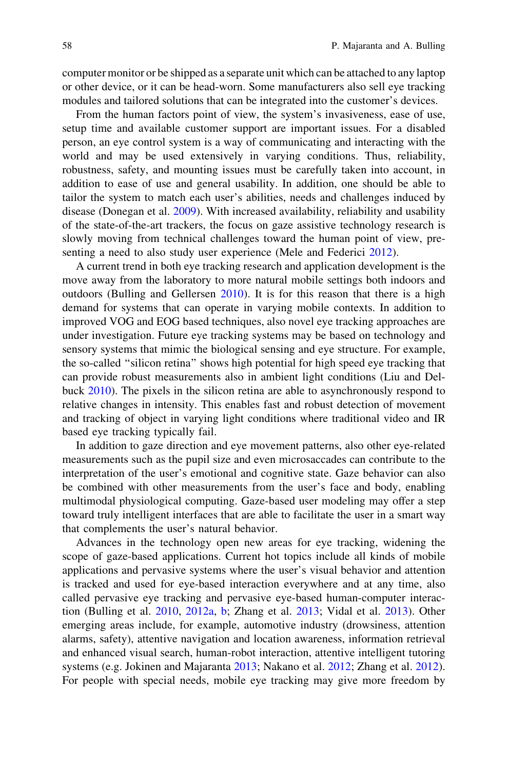computer monitor or be shipped as a separate unit which can be attached to any laptop or other device, or it can be head-worn. Some manufacturers also sell eye tracking modules and tailored solutions that can be integrated into the customer's devices.

From the human factors point of view, the system's invasiveness, ease of use, setup time and available customer support are important issues. For a disabled person, an eye control system is a way of communicating and interacting with the world and may be used extensively in varying conditions. Thus, reliability, robustness, safety, and mounting issues must be carefully taken into account, in addition to ease of use and general usability. In addition, one should be able to tailor the system to match each user's abilities, needs and challenges induced by disease (Donegan et al. [2009\)](#page-21-0). With increased availability, reliability and usability of the state-of-the-art trackers, the focus on gaze assistive technology research is slowly moving from technical challenges toward the human point of view, presenting a need to also study user experience (Mele and Federici [2012\)](#page-24-0).

A current trend in both eye tracking research and application development is the move away from the laboratory to more natural mobile settings both indoors and outdoors (Bulling and Gellersen  $2010$ ). It is for this reason that there is a high demand for systems that can operate in varying mobile contexts. In addition to improved VOG and EOG based techniques, also novel eye tracking approaches are under investigation. Future eye tracking systems may be based on technology and sensory systems that mimic the biological sensing and eye structure. For example, the so-called ''silicon retina'' shows high potential for high speed eye tracking that can provide robust measurements also in ambient light conditions (Liu and Delbuck [2010](#page-23-0)). The pixels in the silicon retina are able to asynchronously respond to relative changes in intensity. This enables fast and robust detection of movement and tracking of object in varying light conditions where traditional video and IR based eye tracking typically fail.

In addition to gaze direction and eye movement patterns, also other eye-related measurements such as the pupil size and even microsaccades can contribute to the interpretation of the user's emotional and cognitive state. Gaze behavior can also be combined with other measurements from the user's face and body, enabling multimodal physiological computing. Gaze-based user modeling may offer a step toward truly intelligent interfaces that are able to facilitate the user in a smart way that complements the user's natural behavior.

Advances in the technology open new areas for eye tracking, widening the scope of gaze-based applications. Current hot topics include all kinds of mobile applications and pervasive systems where the user's visual behavior and attention is tracked and used for eye-based interaction everywhere and at any time, also called pervasive eye tracking and pervasive eye-based human-computer interaction (Bulling et al. [2010,](#page-21-0) [2012a](#page-20-0), [b](#page-21-0); Zhang et al. [2013](#page-26-0); Vidal et al. [2013](#page-26-0)). Other emerging areas include, for example, automotive industry (drowsiness, attention alarms, safety), attentive navigation and location awareness, information retrieval and enhanced visual search, human-robot interaction, attentive intelligent tutoring systems (e.g. Jokinen and Majaranta [2013](#page-23-0); Nakano et al. [2012;](#page-24-0) Zhang et al. [2012\)](#page-26-0). For people with special needs, mobile eye tracking may give more freedom by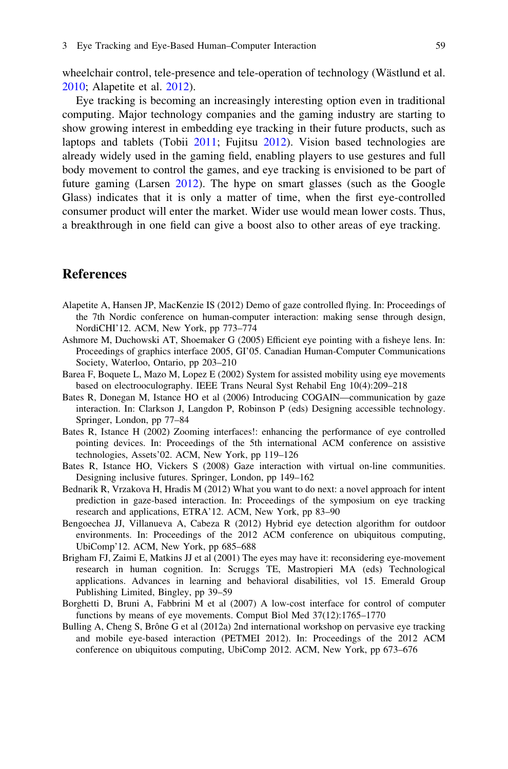<span id="page-20-0"></span>wheelchair control, tele-presence and tele-operation of technology (Wästlund et al. [2010;](#page-26-0) Alapetite et al. 2012).

Eye tracking is becoming an increasingly interesting option even in traditional computing. Major technology companies and the gaming industry are starting to show growing interest in embedding eye tracking in their future products, such as laptops and tablets (Tobii [2011;](#page-25-0) Fujitsu [2012](#page-22-0)). Vision based technologies are already widely used in the gaming field, enabling players to use gestures and full body movement to control the games, and eye tracking is envisioned to be part of future gaming (Larsen [2012\)](#page-23-0). The hype on smart glasses (such as the Google Glass) indicates that it is only a matter of time, when the first eye-controlled consumer product will enter the market. Wider use would mean lower costs. Thus, a breakthrough in one field can give a boost also to other areas of eye tracking.

## References

- Alapetite A, Hansen JP, MacKenzie IS (2012) Demo of gaze controlled flying. In: Proceedings of the 7th Nordic conference on human-computer interaction: making sense through design, NordiCHI'12. ACM, New York, pp 773–774
- Ashmore M, Duchowski AT, Shoemaker G (2005) Efficient eye pointing with a fisheye lens. In: Proceedings of graphics interface 2005, GI'05. Canadian Human-Computer Communications Society, Waterloo, Ontario, pp 203–210
- Barea F, Boquete L, Mazo M, Lopez E (2002) System for assisted mobility using eye movements based on electrooculography. IEEE Trans Neural Syst Rehabil Eng 10(4):209–218
- Bates R, Donegan M, Istance HO et al (2006) Introducing COGAIN—communication by gaze interaction. In: Clarkson J, Langdon P, Robinson P (eds) Designing accessible technology. Springer, London, pp 77–84
- Bates R, Istance H (2002) Zooming interfaces!: enhancing the performance of eye controlled pointing devices. In: Proceedings of the 5th international ACM conference on assistive technologies, Assets'02. ACM, New York, pp 119–126
- Bates R, Istance HO, Vickers S (2008) Gaze interaction with virtual on-line communities. Designing inclusive futures. Springer, London, pp 149–162
- Bednarik R, Vrzakova H, Hradis M (2012) What you want to do next: a novel approach for intent prediction in gaze-based interaction. In: Proceedings of the symposium on eye tracking research and applications, ETRA'12. ACM, New York, pp 83–90
- Bengoechea JJ, Villanueva A, Cabeza R (2012) Hybrid eye detection algorithm for outdoor environments. In: Proceedings of the 2012 ACM conference on ubiquitous computing, UbiComp'12. ACM, New York, pp 685–688
- Brigham FJ, Zaimi E, Matkins JJ et al (2001) The eyes may have it: reconsidering eye-movement research in human cognition. In: Scruggs TE, Mastropieri MA (eds) Technological applications. Advances in learning and behavioral disabilities, vol 15. Emerald Group Publishing Limited, Bingley, pp 39–59
- Borghetti D, Bruni A, Fabbrini M et al (2007) A low-cost interface for control of computer functions by means of eye movements. Comput Biol Med 37(12):1765–1770
- Bulling A, Cheng S, Brône G et al (2012a) 2nd international workshop on pervasive eye tracking and mobile eye-based interaction (PETMEI 2012). In: Proceedings of the 2012 ACM conference on ubiquitous computing, UbiComp 2012. ACM, New York, pp 673–676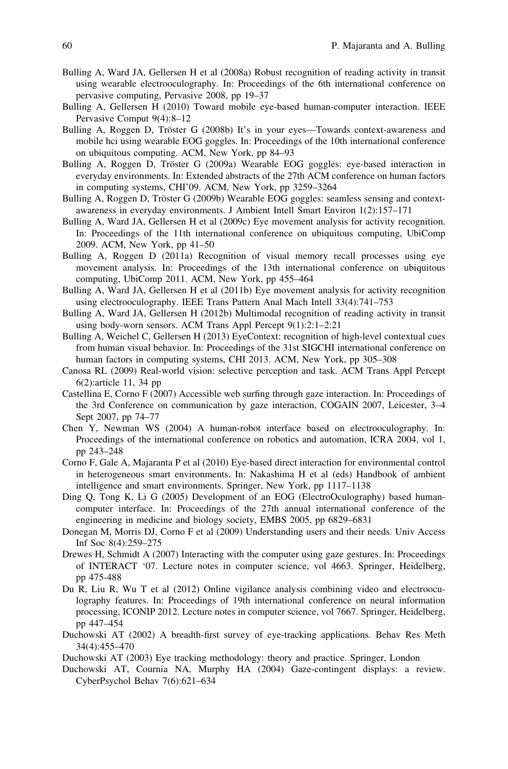- <span id="page-21-0"></span>Bulling A, Ward JA, Gellersen H et al (2008a) Robust recognition of reading activity in transit using wearable electrooculography. In: Proceedings of the 6th international conference on pervasive computing, Pervasive 2008, pp 19–37
- Bulling A, Gellersen H (2010) Toward mobile eye-based human-computer interaction. IEEE Pervasive Comput 9(4):8–12
- Bulling A, Roggen D, Tröster G (2008b) It's in your eyes—Towards context-awareness and mobile hci using wearable EOG goggles. In: Proceedings of the 10th international conference on ubiquitous computing. ACM, New York, pp 84–93
- Bulling A, Roggen D, Tröster G (2009a) Wearable EOG goggles: eye-based interaction in everyday environments. In: Extended abstracts of the 27th ACM conference on human factors in computing systems, CHI'09. ACM, New York, pp 3259–3264
- Bulling A, Roggen D, Tröster G (2009b) Wearable EOG goggles: seamless sensing and contextawareness in everyday environments. J Ambient Intell Smart Environ 1(2):157–171
- Bulling A, Ward JA, Gellersen H et al (2009c) Eye movement analysis for activity recognition. In: Proceedings of the 11th international conference on ubiquitous computing, UbiComp 2009. ACM, New York, pp 41–50
- Bulling A, Roggen D (2011a) Recognition of visual memory recall processes using eye movement analysis. In: Proceedings of the 13th international conference on ubiquitous computing, UbiComp 2011. ACM, New York, pp 455–464
- Bulling A, Ward JA, Gellersen H et al (2011b) Eye movement analysis for activity recognition using electrooculography. IEEE Trans Pattern Anal Mach Intell 33(4):741–753
- Bulling A, Ward JA, Gellersen H (2012b) Multimodal recognition of reading activity in transit using body-worn sensors. ACM Trans Appl Percept 9(1):2:1–2:21
- Bulling A, Weichel C, Gellersen H (2013) EyeContext: recognition of high-level contextual cues from human visual behavior. In: Proceedings of the 31st SIGCHI international conference on human factors in computing systems, CHI 2013. ACM, New York, pp 305–308
- Canosa RL (2009) Real-world vision: selective perception and task. ACM Trans Appl Percept 6(2):article 11, 34 pp
- Castellina E, Corno F (2007) Accessible web surfing through gaze interaction. In: Proceedings of the 3rd Conference on communication by gaze interaction, COGAIN 2007, Leicester, 3–4 Sept 2007, pp 74–77
- Chen Y, Newman WS (2004) A human-robot interface based on electrooculography. In: Proceedings of the international conference on robotics and automation, ICRA 2004, vol 1, pp 243–248
- Corno F, Gale A, Majaranta P et al (2010) Eye-based direct interaction for environmental control in heterogeneous smart environments. In: Nakashima H et al (eds) Handbook of ambient intelligence and smart environments. Springer, New York, pp 1117–1138
- Ding Q, Tong K, Li G (2005) Development of an EOG (ElectroOculography) based humancomputer interface. In: Proceedings of the 27th annual international conference of the engineering in medicine and biology society, EMBS 2005, pp 6829–6831
- Donegan M, Morris DJ, Corno F et al (2009) Understanding users and their needs. Univ Access Inf Soc 8(4):259–275
- Drewes H, Schmidt A (2007) Interacting with the computer using gaze gestures. In: Proceedings of INTERACT '07. Lecture notes in computer science, vol 4663. Springer, Heidelberg, pp 475-488
- Du R, Liu R, Wu T et al (2012) Online vigilance analysis combining video and electrooculography features. In: Proceedings of 19th international conference on neural information processing, ICONIP 2012. Lecture notes in computer science, vol 7667. Springer, Heidelberg, pp 447–454
- Duchowski AT (2002) A breadth-first survey of eye-tracking applications. Behav Res Meth 34(4):455–470
- Duchowski AT (2003) Eye tracking methodology: theory and practice. Springer, London
- Duchowski AT, Cournia NA, Murphy HA (2004) Gaze-contingent displays: a review. CyberPsychol Behav 7(6):621–634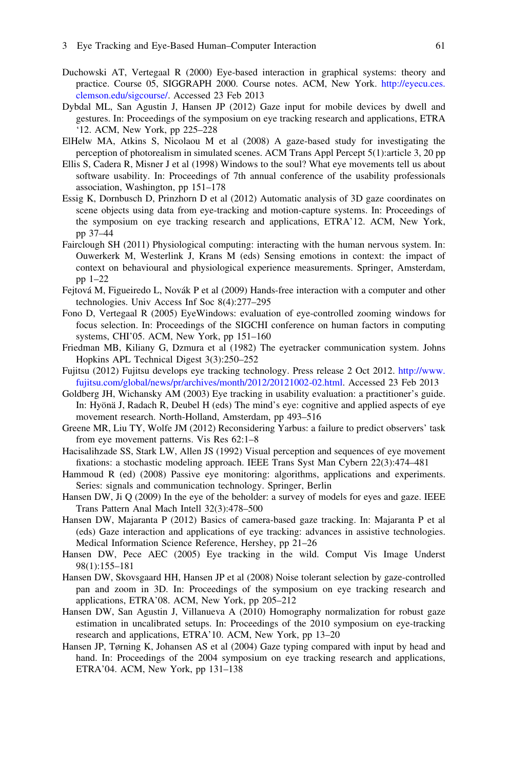- <span id="page-22-0"></span>Duchowski AT, Vertegaal R (2000) Eye-based interaction in graphical systems: theory and practice. Course 05, SIGGRAPH 2000. Course notes. ACM, New York. [http://eyecu.ces.](http://eyecu.ces.clemson.edu/sigcourse/) [clemson.edu/sigcourse/](http://eyecu.ces.clemson.edu/sigcourse/). Accessed 23 Feb 2013
- Dybdal ML, San Agustin J, Hansen JP (2012) Gaze input for mobile devices by dwell and gestures. In: Proceedings of the symposium on eye tracking research and applications, ETRA '12. ACM, New York, pp 225–228
- ElHelw MA, Atkins S, Nicolaou M et al (2008) A gaze-based study for investigating the perception of photorealism in simulated scenes. ACM Trans Appl Percept 5(1):article 3, 20 pp
- Ellis S, Cadera R, Misner J et al (1998) Windows to the soul? What eye movements tell us about software usability. In: Proceedings of 7th annual conference of the usability professionals association, Washington, pp 151–178
- Essig K, Dornbusch D, Prinzhorn D et al (2012) Automatic analysis of 3D gaze coordinates on scene objects using data from eye-tracking and motion-capture systems. In: Proceedings of the symposium on eye tracking research and applications, ETRA'12. ACM, New York, pp 37–44
- Fairclough SH (2011) Physiological computing: interacting with the human nervous system. In: Ouwerkerk M, Westerlink J, Krans M (eds) Sensing emotions in context: the impact of context on behavioural and physiological experience measurements. Springer, Amsterdam, pp 1–22
- Fejtová M, Figueiredo L, Novák P et al (2009) Hands-free interaction with a computer and other technologies. Univ Access Inf Soc 8(4):277–295
- Fono D, Vertegaal R (2005) EyeWindows: evaluation of eye-controlled zooming windows for focus selection. In: Proceedings of the SIGCHI conference on human factors in computing systems, CHI'05. ACM, New York, pp 151–160
- Friedman MB, Kiliany G, Dzmura et al (1982) The eyetracker communication system. Johns Hopkins APL Technical Digest 3(3):250–252
- Fujitsu (2012) Fujitsu develops eye tracking technology. Press release 2 Oct 2012. [http://www.](http://www.fujitsu.com/global/news/pr/archives/month/2012/20121002-02.html) [fujitsu.com/global/news/pr/archives/month/2012/20121002-02.html](http://www.fujitsu.com/global/news/pr/archives/month/2012/20121002-02.html). Accessed 23 Feb 2013
- Goldberg JH, Wichansky AM (2003) Eye tracking in usability evaluation: a practitioner's guide. In: Hyönä J, Radach R, Deubel H (eds) The mind's eye: cognitive and applied aspects of eye movement research. North-Holland, Amsterdam, pp 493–516
- Greene MR, Liu TY, Wolfe JM (2012) Reconsidering Yarbus: a failure to predict observers' task from eye movement patterns. Vis Res 62:1–8
- Hacisalihzade SS, Stark LW, Allen JS (1992) Visual perception and sequences of eye movement fixations: a stochastic modeling approach. IEEE Trans Syst Man Cybern 22(3):474–481
- Hammoud R (ed) (2008) Passive eye monitoring: algorithms, applications and experiments. Series: signals and communication technology. Springer, Berlin
- Hansen DW, Ji Q (2009) In the eye of the beholder: a survey of models for eyes and gaze. IEEE Trans Pattern Anal Mach Intell 32(3):478–500
- Hansen DW, Majaranta P (2012) Basics of camera-based gaze tracking. In: Majaranta P et al (eds) Gaze interaction and applications of eye tracking: advances in assistive technologies. Medical Information Science Reference, Hershey, pp 21–26
- Hansen DW, Pece AEC (2005) Eye tracking in the wild. Comput Vis Image Underst 98(1):155–181
- Hansen DW, Skovsgaard HH, Hansen JP et al (2008) Noise tolerant selection by gaze-controlled pan and zoom in 3D. In: Proceedings of the symposium on eye tracking research and applications, ETRA'08. ACM, New York, pp 205–212
- Hansen DW, San Agustin J, Villanueva A (2010) Homography normalization for robust gaze estimation in uncalibrated setups. In: Proceedings of the 2010 symposium on eye-tracking research and applications, ETRA'10. ACM, New York, pp 13–20
- Hansen JP, Tørning K, Johansen AS et al (2004) Gaze typing compared with input by head and hand. In: Proceedings of the 2004 symposium on eye tracking research and applications, ETRA'04. ACM, New York, pp 131–138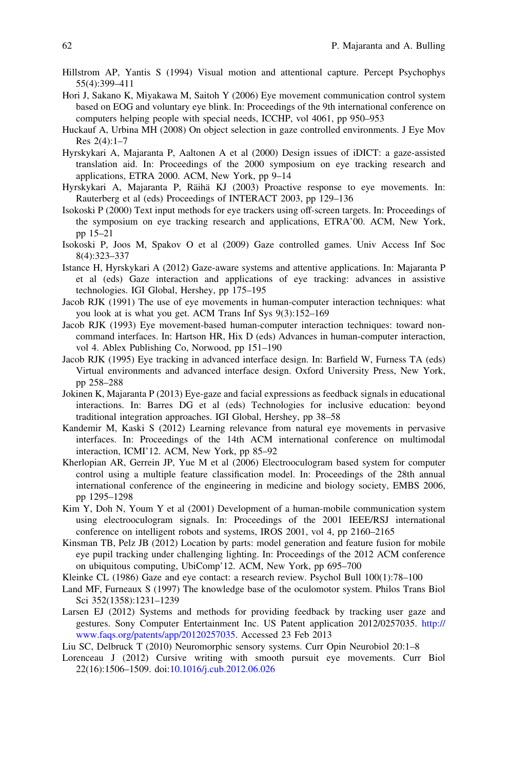- <span id="page-23-0"></span>Hillstrom AP, Yantis S (1994) Visual motion and attentional capture. Percept Psychophys 55(4):399–411
- Hori J, Sakano K, Miyakawa M, Saitoh Y (2006) Eye movement communication control system based on EOG and voluntary eye blink. In: Proceedings of the 9th international conference on computers helping people with special needs, ICCHP, vol 4061, pp 950–953
- Huckauf A, Urbina MH (2008) On object selection in gaze controlled environments. J Eye Mov Res 2(4):1–7
- Hyrskykari A, Majaranta P, Aaltonen A et al (2000) Design issues of iDICT: a gaze-assisted translation aid. In: Proceedings of the 2000 symposium on eye tracking research and applications, ETRA 2000. ACM, New York, pp 9–14
- Hyrskykari A, Majaranta P, Räihä KJ (2003) Proactive response to eye movements. In: Rauterberg et al (eds) Proceedings of INTERACT 2003, pp 129–136
- Isokoski P (2000) Text input methods for eye trackers using off-screen targets. In: Proceedings of the symposium on eye tracking research and applications, ETRA'00. ACM, New York, pp 15–21
- Isokoski P, Joos M, Spakov O et al (2009) Gaze controlled games. Univ Access Inf Soc 8(4):323–337
- Istance H, Hyrskykari A (2012) Gaze-aware systems and attentive applications. In: Majaranta P et al (eds) Gaze interaction and applications of eye tracking: advances in assistive technologies. IGI Global, Hershey, pp 175–195
- Jacob RJK (1991) The use of eye movements in human-computer interaction techniques: what you look at is what you get. ACM Trans Inf Sys 9(3):152–169
- Jacob RJK (1993) Eye movement-based human-computer interaction techniques: toward noncommand interfaces. In: Hartson HR, Hix D (eds) Advances in human-computer interaction, vol 4. Ablex Publishing Co, Norwood, pp 151–190
- Jacob RJK (1995) Eye tracking in advanced interface design. In: Barfield W, Furness TA (eds) Virtual environments and advanced interface design. Oxford University Press, New York, pp 258–288
- Jokinen K, Majaranta P (2013) Eye-gaze and facial expressions as feedback signals in educational interactions. In: Barres DG et al (eds) Technologies for inclusive education: beyond traditional integration approaches. IGI Global, Hershey, pp 38–58
- Kandemir M, Kaski S (2012) Learning relevance from natural eye movements in pervasive interfaces. In: Proceedings of the 14th ACM international conference on multimodal interaction, ICMI'12. ACM, New York, pp 85–92
- Kherlopian AR, Gerrein JP, Yue M et al (2006) Electrooculogram based system for computer control using a multiple feature classification model. In: Proceedings of the 28th annual international conference of the engineering in medicine and biology society, EMBS 2006, pp 1295–1298
- Kim Y, Doh N, Youm Y et al (2001) Development of a human-mobile communication system using electrooculogram signals. In: Proceedings of the 2001 IEEE/RSJ international conference on intelligent robots and systems, IROS 2001, vol 4, pp 2160–2165
- Kinsman TB, Pelz JB (2012) Location by parts: model generation and feature fusion for mobile eye pupil tracking under challenging lighting. In: Proceedings of the 2012 ACM conference on ubiquitous computing, UbiComp'12. ACM, New York, pp 695–700
- Kleinke CL (1986) Gaze and eye contact: a research review. Psychol Bull 100(1):78–100
- Land MF, Furneaux S (1997) The knowledge base of the oculomotor system. Philos Trans Biol Sci 352(1358):1231–1239
- Larsen EJ (2012) Systems and methods for providing feedback by tracking user gaze and gestures. Sony Computer Entertainment Inc. US Patent application 2012/0257035. [http://](http://www.faqs.org/patents/app/20120257035) [www.faqs.org/patents/app/20120257035.](http://www.faqs.org/patents/app/20120257035) Accessed 23 Feb 2013
- Liu SC, Delbruck T (2010) Neuromorphic sensory systems. Curr Opin Neurobiol 20:1–8
- Lorenceau J (2012) Cursive writing with smooth pursuit eye movements. Curr Biol 22(16):1506–1509. doi[:10.1016/j.cub.2012.06.026](http://dx.doi.org/10.1016/j.cub.2012.06.026)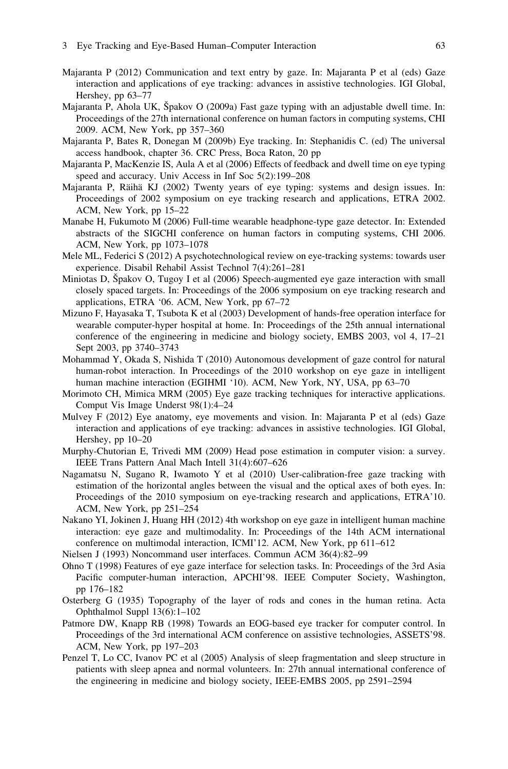- <span id="page-24-0"></span>Majaranta P (2012) Communication and text entry by gaze. In: Majaranta P et al (eds) Gaze interaction and applications of eye tracking: advances in assistive technologies. IGI Global, Hershey, pp 63–77
- Majaranta P, Ahola UK, Špakov O (2009a) Fast gaze typing with an adjustable dwell time. In: Proceedings of the 27th international conference on human factors in computing systems, CHI 2009. ACM, New York, pp 357–360
- Majaranta P, Bates R, Donegan M (2009b) Eye tracking. In: Stephanidis C. (ed) The universal access handbook, chapter 36. CRC Press, Boca Raton, 20 pp
- Majaranta P, MacKenzie IS, Aula A et al (2006) Effects of feedback and dwell time on eye typing speed and accuracy. Univ Access in Inf Soc 5(2):199–208
- Majaranta P, Räihä KJ (2002) Twenty years of eye typing: systems and design issues. In: Proceedings of 2002 symposium on eye tracking research and applications, ETRA 2002. ACM, New York, pp 15–22
- Manabe H, Fukumoto M (2006) Full-time wearable headphone-type gaze detector. In: Extended abstracts of the SIGCHI conference on human factors in computing systems, CHI 2006. ACM, New York, pp 1073–1078
- Mele ML, Federici S (2012) A psychotechnological review on eye-tracking systems: towards user experience. Disabil Rehabil Assist Technol 7(4):261–281
- Miniotas D, Špakov O, Tugoy I et al (2006) Speech-augmented eye gaze interaction with small closely spaced targets. In: Proceedings of the 2006 symposium on eye tracking research and applications, ETRA '06. ACM, New York, pp 67–72
- Mizuno F, Hayasaka T, Tsubota K et al (2003) Development of hands-free operation interface for wearable computer-hyper hospital at home. In: Proceedings of the 25th annual international conference of the engineering in medicine and biology society, EMBS 2003, vol 4, 17–21 Sept 2003, pp 3740–3743
- Mohammad Y, Okada S, Nishida T (2010) Autonomous development of gaze control for natural human-robot interaction. In Proceedings of the 2010 workshop on eye gaze in intelligent human machine interaction (EGIHMI '10). ACM, New York, NY, USA, pp 63-70
- Morimoto CH, Mimica MRM (2005) Eye gaze tracking techniques for interactive applications. Comput Vis Image Underst 98(1):4–24
- Mulvey F (2012) Eye anatomy, eye movements and vision. In: Majaranta P et al (eds) Gaze interaction and applications of eye tracking: advances in assistive technologies. IGI Global, Hershey, pp 10–20
- Murphy-Chutorian E, Trivedi MM (2009) Head pose estimation in computer vision: a survey. IEEE Trans Pattern Anal Mach Intell 31(4):607–626
- Nagamatsu N, Sugano R, Iwamoto Y et al (2010) User-calibration-free gaze tracking with estimation of the horizontal angles between the visual and the optical axes of both eyes. In: Proceedings of the 2010 symposium on eye-tracking research and applications, ETRA'10. ACM, New York, pp 251–254
- Nakano YI, Jokinen J, Huang HH (2012) 4th workshop on eye gaze in intelligent human machine interaction: eye gaze and multimodality. In: Proceedings of the 14th ACM international conference on multimodal interaction, ICMI'12. ACM, New York, pp 611–612
- Nielsen J (1993) Noncommand user interfaces. Commun ACM 36(4):82–99
- Ohno T (1998) Features of eye gaze interface for selection tasks. In: Proceedings of the 3rd Asia Pacific computer-human interaction, APCHI'98. IEEE Computer Society, Washington, pp 176–182
- Osterberg G (1935) Topography of the layer of rods and cones in the human retina. Acta Ophthalmol Suppl 13(6):1–102
- Patmore DW, Knapp RB (1998) Towards an EOG-based eye tracker for computer control. In Proceedings of the 3rd international ACM conference on assistive technologies, ASSETS'98. ACM, New York, pp 197–203
- Penzel T, Lo CC, Ivanov PC et al (2005) Analysis of sleep fragmentation and sleep structure in patients with sleep apnea and normal volunteers. In: 27th annual international conference of the engineering in medicine and biology society, IEEE-EMBS 2005, pp 2591–2594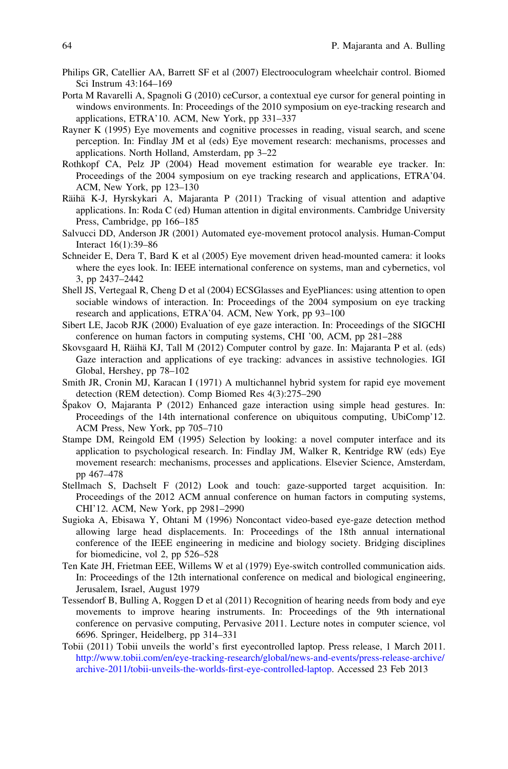- <span id="page-25-0"></span>Philips GR, Catellier AA, Barrett SF et al (2007) Electrooculogram wheelchair control. Biomed Sci Instrum 43:164–169
- Porta M Ravarelli A, Spagnoli G (2010) ceCursor, a contextual eye cursor for general pointing in windows environments. In: Proceedings of the 2010 symposium on eye-tracking research and applications, ETRA'10. ACM, New York, pp 331–337
- Rayner K (1995) Eye movements and cognitive processes in reading, visual search, and scene perception. In: Findlay JM et al (eds) Eye movement research: mechanisms, processes and applications. North Holland, Amsterdam, pp 3–22
- Rothkopf CA, Pelz JP (2004) Head movement estimation for wearable eye tracker. In: Proceedings of the 2004 symposium on eye tracking research and applications, ETRA'04. ACM, New York, pp 123–130
- Räihä K-J, Hyrskykari A, Majaranta P (2011) Tracking of visual attention and adaptive applications. In: Roda C (ed) Human attention in digital environments. Cambridge University Press, Cambridge, pp 166–185
- Salvucci DD, Anderson JR (2001) Automated eye-movement protocol analysis. Human-Comput Interact 16(1):39–86
- Schneider E, Dera T, Bard K et al (2005) Eye movement driven head-mounted camera: it looks where the eyes look. In: IEEE international conference on systems, man and cybernetics, vol 3, pp 2437–2442
- Shell JS, Vertegaal R, Cheng D et al (2004) ECSGlasses and EyePliances: using attention to open sociable windows of interaction. In: Proceedings of the 2004 symposium on eye tracking research and applications, ETRA'04. ACM, New York, pp 93–100
- Sibert LE, Jacob RJK (2000) Evaluation of eye gaze interaction. In: Proceedings of the SIGCHI conference on human factors in computing systems, CHI '00, ACM, pp 281–288
- Skovsgaard H, Räihä KJ, Tall M (2012) Computer control by gaze. In: Majaranta P et al. (eds) Gaze interaction and applications of eye tracking: advances in assistive technologies. IGI Global, Hershey, pp 78–102
- Smith JR, Cronin MJ, Karacan I (1971) A multichannel hybrid system for rapid eye movement detection (REM detection). Comp Biomed Res 4(3):275–290
- Špakov O, Majaranta P (2012) Enhanced gaze interaction using simple head gestures. In: Proceedings of the 14th international conference on ubiquitous computing, UbiComp'12. ACM Press, New York, pp 705–710
- Stampe DM, Reingold EM (1995) Selection by looking: a novel computer interface and its application to psychological research. In: Findlay JM, Walker R, Kentridge RW (eds) Eye movement research: mechanisms, processes and applications. Elsevier Science, Amsterdam, pp 467–478
- Stellmach S, Dachselt F (2012) Look and touch: gaze-supported target acquisition. In: Proceedings of the 2012 ACM annual conference on human factors in computing systems, CHI'12. ACM, New York, pp 2981–2990
- Sugioka A, Ebisawa Y, Ohtani M (1996) Noncontact video-based eye-gaze detection method allowing large head displacements. In: Proceedings of the 18th annual international conference of the IEEE engineering in medicine and biology society. Bridging disciplines for biomedicine, vol 2, pp 526–528
- Ten Kate JH, Frietman EEE, Willems W et al (1979) Eye-switch controlled communication aids. In: Proceedings of the 12th international conference on medical and biological engineering, Jerusalem, Israel, August 1979
- Tessendorf B, Bulling A, Roggen D et al (2011) Recognition of hearing needs from body and eye movements to improve hearing instruments. In: Proceedings of the 9th international conference on pervasive computing, Pervasive 2011. Lecture notes in computer science, vol 6696. Springer, Heidelberg, pp 314–331
- Tobii (2011) Tobii unveils the world's first eyecontrolled laptop. Press release, 1 March 2011. [http://www.tobii.com/en/eye-tracking-research/global/news-and-events/press-release-archive/](http://www.tobii.com/en/eye-tracking-research/global/news-and-events/press-release-archive/archive-2011/tobii-unveils-the-worlds-first-eye-controlled-laptop) [archive-2011/tobii-unveils-the-worlds-first-eye-controlled-laptop](http://www.tobii.com/en/eye-tracking-research/global/news-and-events/press-release-archive/archive-2011/tobii-unveils-the-worlds-first-eye-controlled-laptop). Accessed 23 Feb 2013